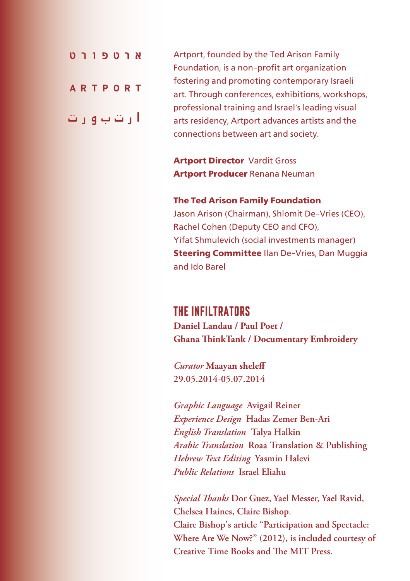|  |  |  | ארטפורט |
|--|--|--|---------|
|  |  |  |         |

**ARTPORT** 

ا رات با و رات

Artport, founded by the Ted Arison Family Foundation, is a non-profit art organization fostering and promoting contemporary Israeli art. Through conferences, exhibitions, workshops, professional training and Israel's leading visual arts residency, Artport advances artists and the connections between art and society.

**Artport Director** Vardit Gross **Artport Producer** Renana Neuman

**The Ted Arison Family Foundation** Jason Arison (Chairman), Shlomit De-Vries (CEO), Rachel Cohen (Deputy CEO and CFO), Yifat Shmulevich (social investments manager) **Steering Committee** Ilan De-Vries, Dan Muggia and Ido Barel

The Infiltrators **Daniel Landau / Paul Poet / Ghana ThinkTank / Documentary Embroidery**

*Curator* **Maayan sheleff 29.05.2014-05.07.2014**

*Graphic Language* **Avigail Reiner** *Experience Design* **Hadas Zemer Ben-Ari** *English Translation* **Talya Halkin** *Arabic Translation* **Roaa Translation & Publishing** *Hebrew Text Editing* **Yasmin Halevi** *Public Relations* **Israel Eliahu**

*Special Thanks* **Dor Guez, Yael Messer, Yael Ravid, Chelsea Haines, Claire Bishop**. **Claire Bishop's article "Participation and Spectacle: Where Are We Now?" (2012), is included courtesy of Creative Time Books and The MIT Press.**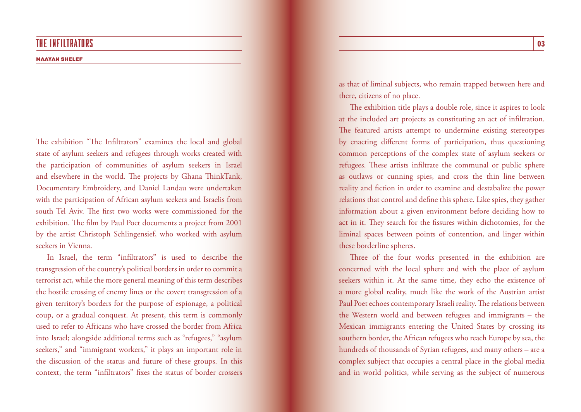# the infiltrators

#### maayan shelef

The exhibition "The Infiltrators" examines the local and global state of asylum seekers and refugees through works created with the participation of communities of asylum seekers in Israel and elsewhere in the world. The projects by Ghana ThinkTank, Documentary Embroidery, and Daniel Landau were undertaken with the participation of African asylum seekers and Israelis from south Tel Aviv. The first two works were commissioned for the exhibition. The film by Paul Poet documents a project from 2001 by the artist Christoph Schlingensief, who worked with asylum seekers in Vienna.

In Israel, the term "infiltrators" is used to describe the transgression of the country's political borders in order to commit a terrorist act, while the more general meaning of this term describes the hostile crossing of enemy lines or the covert transgression of a given territory's borders for the purpose of espionage, a political coup, or a gradual conquest. At present, this term is commonly used to refer to Africans who have crossed the border from Africa into Israel; alongside additional terms such as "refugees," "asylum seekers," and "immigrant workers," it plays an important role in the discussion of the status and future of these groups. In this context, the term "infiltrators" fixes the status of border crossers as that of liminal subjects, who remain trapped between here and there, citizens of no place.

The exhibition title plays a double role, since it aspires to look at the included art projects as constituting an act of infiltration. The featured artists attempt to undermine existing stereotypes by enacting different forms of participation, thus questioning common perceptions of the complex state of asylum seekers or refugees. These artists infiltrate the communal or public sphere as outlaws or cunning spies, and cross the thin line between reality and fiction in order to examine and destabalize the power relations that control and define this sphere. Like spies, they gather information about a given environment before deciding how to act in it. They search for the fissures within dichotomies, for the liminal spaces between points of contention, and linger within these borderline spheres.

Three of the four works presented in the exhibition are concerned with the local sphere and with the place of asylum seekers within it. At the same time, they echo the existence of a more global reality, much like the work of the Austrian artist Paul Poet echoes contemporary Israeli reality. The relations between the Western world and between refugees and immigrants – the Mexican immigrants entering the United States by crossing its southern border, the African refugees who reach Europe by sea, the hundreds of thousands of Syrian refugees, and many others – are a complex subject that occupies a central place in the global media and in world politics, while serving as the subject of numerous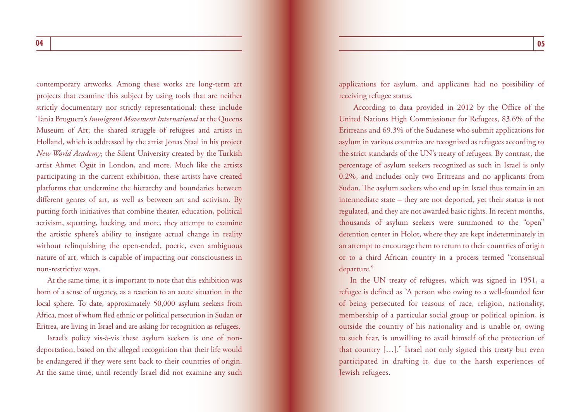contemporary artworks. Among these works are long-term art projects that examine this subject by using tools that are neither strictly documentary nor strictly representational: these include Tania Bruguera's *Immigrant Movement International* at the Queens Museum of Art; the shared struggle of refugees and artists in Holland, which is addressed by the artist Jonas Staal in his project *New World Academy*; the Silent University created by the Turkish artist Ahmet Ögüt in London, and more. Much like the artists participating in the current exhibition, these artists have created platforms that undermine the hierarchy and boundaries between different genres of art, as well as between art and activism. By putting forth initiatives that combine theater, education, political activism, squatting, hacking, and more, they attempt to examine the artistic sphere's ability to instigate actual change in reality without relinquishing the open-ended, poetic, even ambiguous nature of art, which is capable of impacting our consciousness in non-restrictive ways.

At the same time, it is important to note that this exhibition was born of a sense of urgency, as a reaction to an acute situation in the local sphere. To date, approximately 50,000 asylum seekers from Africa, most of whom fled ethnic or political persecution in Sudan or Eritrea, are living in Israel and are asking for recognition as refugees.

Israel's policy vis-à-vis these asylum seekers is one of nondeportation, based on the alleged recognition that their life would be endangered if they were sent back to their countries of origin. At the same time, until recently Israel did not examine any such applications for asylum, and applicants had no possibility of receiving refugee status.

 According to data provided in 2012 by the Office of the United Nations High Commissioner for Refugees, 83.6% of the Eritreans and 69.3% of the Sudanese who submit applications for asylum in various countries are recognized as refugees according to the strict standards of the UN's treaty of refugees. By contrast, the percentage of asylum seekers recognized as such in Israel is only 0.2%, and includes only two Eritreans and no applicants from Sudan. The asylum seekers who end up in Israel thus remain in an intermediate state – they are not deported, yet their status is not regulated, and they are not awarded basic rights. In recent months, thousands of asylum seekers were summoned to the "open" detention center in Holot, where they are kept indeterminately in an attempt to encourage them to return to their countries of origin or to a third African country in a process termed "consensual departure."

In the UN treaty of refugees, which was signed in 1951, a refugee is defined as "A person who owing to a well-founded fear of being persecuted for reasons of race, religion, nationality, membership of a particular social group or political opinion, is outside the country of his nationality and is unable or, owing to such fear, is unwilling to avail himself of the protection of that country […]." Israel not only signed this treaty but even participated in drafting it, due to the harsh experiences of Jewish refugees.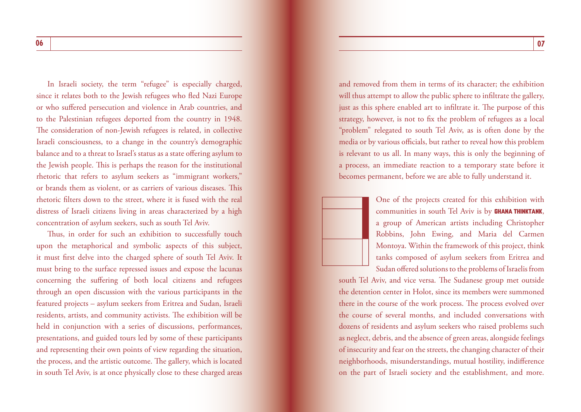In Israeli society, the term "refugee" is especially charged, since it relates both to the Jewish refugees who fled Nazi Europe or who suffered persecution and violence in Arab countries, and to the Palestinian refugees deported from the country in 1948. The consideration of non-Jewish refugees is related, in collective Israeli consciousness, to a change in the country's demographic balance and to a threat to Israel's status as a state offering asylum to the Jewish people. This is perhaps the reason for the institutional rhetoric that refers to asylum seekers as "immigrant workers," or brands them as violent, or as carriers of various diseases. This rhetoric filters down to the street, where it is fused with the real distress of Israeli citizens living in areas characterized by a high concentration of asylum seekers, such as south Tel Aviv.

Thus, in order for such an exhibition to successfully touch upon the metaphorical and symbolic aspects of this subject, it must first delve into the charged sphere of south Tel Aviv. It must bring to the surface repressed issues and expose the lacunas concerning the suffering of both local citizens and refugees through an open discussion with the various participants in the featured projects – asylum seekers from Eritrea and Sudan, Israeli residents, artists, and community activists. The exhibition will be held in conjunction with a series of discussions, performances, presentations, and guided tours led by some of these participants and representing their own points of view regarding the situation, the process, and the artistic outcome. The gallery, which is located in south Tel Aviv, is at once physically close to these charged areas and removed from them in terms of its character; the exhibition will thus attempt to allow the public sphere to infiltrate the gallery, just as this sphere enabled art to infiltrate it. The purpose of this strategy, however, is not to fix the problem of refugees as a local "problem" relegated to south Tel Aviv, as is often done by the media or by various officials, but rather to reveal how this problem is relevant to us all. In many ways, this is only the beginning of a process, an immediate reaction to a temporary state before it becomes permanent, before we are able to fully understand it.

> One of the projects created for this exhibition with communities in south Tel Aviv is by Ghana ThinkTank, a group of American artists including Christopher Robbins, John Ewing, and Maria del Carmen Montoya. Within the framework of this project, think tanks composed of asylum seekers from Eritrea and Sudan offered solutions to the problems of Israelis from

south Tel Aviv, and vice versa. The Sudanese group met outside the detention center in Holot, since its members were summoned there in the course of the work process. The process evolved over the course of several months, and included conversations with dozens of residents and asylum seekers who raised problems such as neglect, debris, and the absence of green areas, alongside feelings of insecurity and fear on the streets, the changing character of their neighborhoods, misunderstandings, mutual hostility, indifference on the part of Israeli society and the establishment, and more.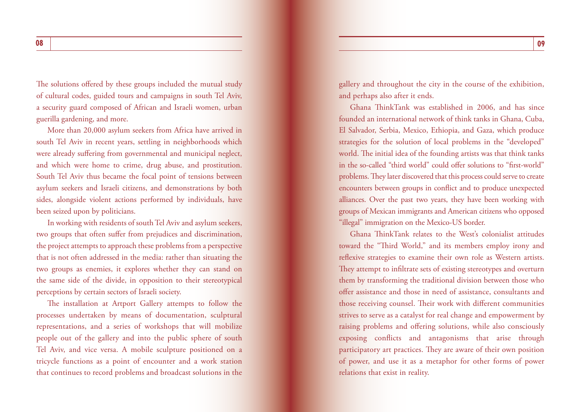gallery and throughout the city in the course of the exhibition, and perhaps also after it ends.

Ghana ThinkTank was established in 2006, and has since founded an international network of think tanks in Ghana, Cuba, El Salvador, Serbia, Mexico, Ethiopia, and Gaza, which produce strategies for the solution of local problems in the "developed" world. The initial idea of the founding artists was that think tanks in the so-called "third world" could offer solutions to "first-world" problems. They later discovered that this process could serve to create encounters between groups in conflict and to produce unexpected alliances. Over the past two years, they have been working with groups of Mexican immigrants and American citizens who opposed "illegal" immigration on the Mexico-US border.

Ghana ThinkTank relates to the West's colonialist attitudes toward the "Third World," and its members employ irony and reflexive strategies to examine their own role as Western artists. They attempt to infiltrate sets of existing stereotypes and overturn them by transforming the traditional division between those who offer assistance and those in need of assistance, consultants and those receiving counsel. Their work with different communities strives to serve as a catalyst for real change and empowerment by raising problems and offering solutions, while also consciously exposing conflicts and antagonisms that arise through participatory art practices. They are aware of their own position of power, and use it as a metaphor for other forms of power relations that exist in reality.

The solutions offered by these groups included the mutual study of cultural codes, guided tours and campaigns in south Tel Aviv, a security guard composed of African and Israeli women, urban guerilla gardening, and more.

More than 20,000 asylum seekers from Africa have arrived in south Tel Aviv in recent years, settling in neighborhoods which were already suffering from governmental and municipal neglect, and which were home to crime, drug abuse, and prostitution. South Tel Aviv thus became the focal point of tensions between asylum seekers and Israeli citizens, and demonstrations by both sides, alongside violent actions performed by individuals, have been seized upon by politicians.

In working with residents of south Tel Aviv and asylum seekers, two groups that often suffer from prejudices and discrimination, the project attempts to approach these problems from a perspective that is not often addressed in the media: rather than situating the two groups as enemies, it explores whether they can stand on the same side of the divide, in opposition to their stereotypical perceptions by certain sectors of Israeli society.

The installation at Artport Gallery attempts to follow the processes undertaken by means of documentation, sculptural representations, and a series of workshops that will mobilize people out of the gallery and into the public sphere of south Tel Aviv, and vice versa. A mobile sculpture positioned on a tricycle functions as a point of encounter and a work station that continues to record problems and broadcast solutions in the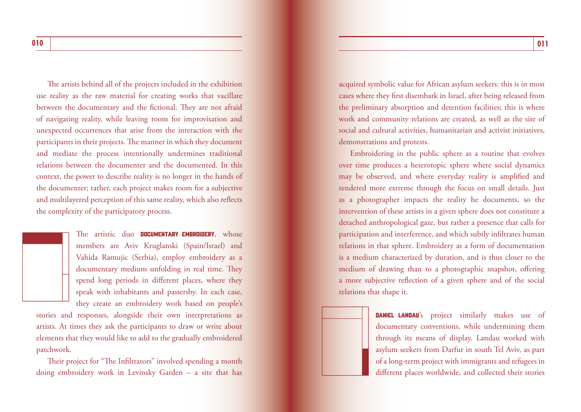acquired symbolic value for African asylum seekers: this is in most cases where they first disembark in Israel, after being released from the preliminary absorption and detention facilities; this is where work and community relations are created, as well as the site of social and cultural activities, humanitarian and activist initiatives, demonstrations and protests.

Embroidering in the public sphere as a routine that evolves over time produces a heterotopic sphere where social dynamics may be observed, and where everyday reality is amplified and rendered more extreme through the focus on small details. Just as a photographer impacts the reality he documents, so the intervention of these artists in a given sphere does not constitute a detached anthropological gaze, but rather a presence that calls for participation and interference, and which subtly infiltrates human relations in that sphere. Embroidery as a form of documentation is a medium characterized by duration, and is thus closer to the medium of drawing than to a photographic snapshot, offering a more subjective reflection of a given sphere and of the social relations that shape it.

> DANIEL LANDAU's project similarly makes use of documentary conventions, while undermining them through its means of display. Landau worked with asylum seekers from Darfur in south Tel Aviv, as part of a long-term project with immigrants and refugees in different places worldwide, and collected their stories

The artists behind all of the projects included in the exhibition use reality as the raw material for creating works that vacillate between the documentary and the fictional. They are not afraid of navigating reality, while leaving room for improvisation and unexpected occurrences that arise from the interaction with the participants in their projects. The manner in which they document and mediate the process intentionally undermines traditional relations between the documenter and the documented. In this context, the power to describe reality is no longer in the hands of the documenter; rather, each project makes room for a subjective and multilayered perception of this same reality, which also reflects the complexity of the participatory process.

> The artistic duo **DOCUMENTARY EMBROIDERY**, whose members are Aviv Kruglanski (Spain/Israel) and Vahida Ramujic (Serbia), employ embroidery as a documentary medium unfolding in real time. They spend long periods in different places, where they speak with inhabitants and passersby. In each case, they create an embroidery work based on people's

stories and responses, alongside their own interpretations as artists. At times they ask the participants to draw or write about elements that they would like to add to the gradually embroidered patchwork.

Their project for "The Infiltrators" involved spending a month doing embroidery work in Levinsky Garden – a site that has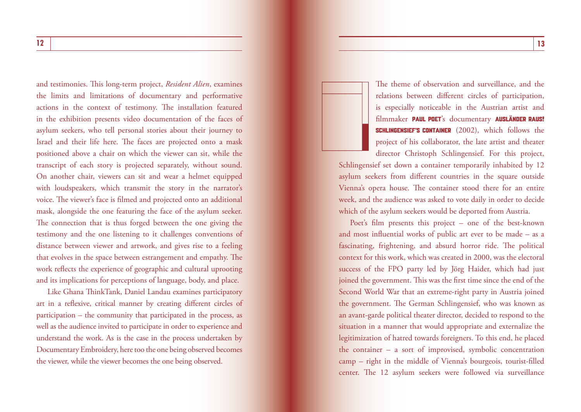and testimonies. This long-term project, *Resident Alien*, examines the limits and limitations of documentary and performative actions in the context of testimony. The installation featured in the exhibition presents video documentation of the faces of asylum seekers, who tell personal stories about their journey to Israel and their life here. The faces are projected onto a mask positioned above a chair on which the viewer can sit, while the transcript of each story is projected separately, without sound. On another chair, viewers can sit and wear a helmet equipped with loudspeakers, which transmit the story in the narrator's voice. The viewer's face is filmed and projected onto an additional mask, alongside the one featuring the face of the asylum seeker. The connection that is thus forged between the one giving the testimony and the one listening to it challenges conventions of distance between viewer and artwork, and gives rise to a feeling that evolves in the space between estrangement and empathy. The work reflects the experience of geographic and cultural uprooting and its implications for perceptions of language, body, and place.

Like Ghana ThinkTank, Daniel Landau examines participatory art in a reflexive, critical manner by creating different circles of participation – the community that participated in the process, as well as the audience invited to participate in order to experience and understand the work. As is the case in the process undertaken by Documentary Embroidery, here too the one being observed becomes the viewer, while the viewer becomes the one being observed.

The theme of observation and surveillance, and the relations between different circles of participation, is especially noticeable in the Austrian artist and filmmaker Paul Poet's documentary Ausländer Raus! Schlingensief's Container (2002), which follows the project of his collaborator, the late artist and theater director Christoph Schlingensief. For this project,

Schlingensief set down a container temporarily inhabited by 12 asylum seekers from different countries in the square outside Vienna's opera house. The container stood there for an entire week, and the audience was asked to vote daily in order to decide which of the asylum seekers would be deported from Austria.

Poet's film presents this project – one of the best-known and most influential works of public art ever to be made – as a fascinating, frightening, and absurd horror ride. The political context for this work, which was created in 2000, was the electoral success of the FPO party led by Jörg Haider, which had just joined the government. This was the first time since the end of the Second World War that an extreme-right party in Austria joined the government. The German Schlingensief, who was known as an avant-garde political theater director, decided to respond to the situation in a manner that would appropriate and externalize the legitimization of hatred towards foreigners. To this end, he placed the container – a sort of improvised, symbolic concentration camp – right in the middle of Vienna's bourgeois, tourist-filled center. The 12 asylum seekers were followed via surveillance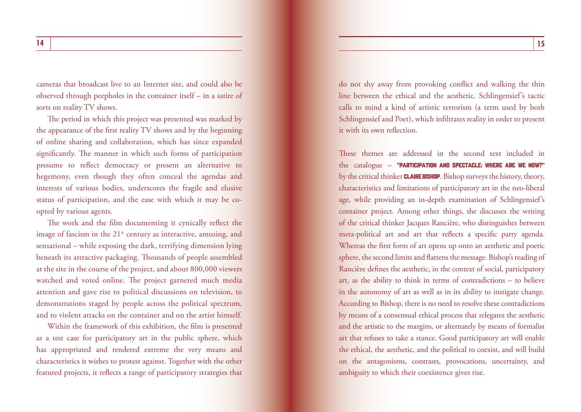do not shy away from provoking conflict and walking the thin line between the ethical and the aesthetic. Schlingensief's tactic calls to mind a kind of artistic terrorism (a term used by both Schlingensief and Poet), which infiltrates reality in order to present it with its own reflection.

These themes are addressed in the second text included in the catalogue – "Participation and Spectacle: Where Are We Now?" by the critical thinker **CLAIRE BISHOP**. Bishop surveys the history, theory, characteristics and limitations of participatory art in the neo-liberal age, while providing an in-depth examination of Schlingensief's container project. Among other things, she discusses the writing of the critical thinker Jacques Rancière, who distinguishes between meta-political art and art that reflects a specific party agenda. Whereas the first form of art opens up onto an aesthetic and poetic sphere, the second limits and flattens the message. Bishop's reading of Rancière defines the aesthetic, in the context of social, participatory art, as the ability to think in terms of contradictions – to believe in the autonomy of art as well as in its ability to instigate change. According to Bishop, there is no need to resolve these contradictions by means of a consensual ethical process that relegates the aesthetic and the artistic to the margins, or alternately by means of formalist art that refuses to take a stance. Good participatory art will enable the ethical, the aesthetic, and the political to coexist, and will build on the antagonisms, contrasts, provocations, uncertainty, and ambiguity to which their coexistence gives rise.

cameras that broadcast live to an Internet site, and could also be observed through peepholes in the container itself – in a satire of sorts on reality TV shows.

The period in which this project was presented was marked by the appearance of the first reality TV shows and by the beginning of online sharing and collaboration, which has since expanded significantly. The manner in which such forms of participation presume to reflect democracy or present an alternative to hegemony, even though they often conceal the agendas and interests of various bodies, underscores the fragile and elusive status of participation, and the ease with which it may be coopted by various agents.

The work and the film documenting it cynically reflect the image of fascism in the  $21<sup>st</sup>$  century as interactive, amusing, and sensational – while exposing the dark, terrifying dimension lying beneath its attractive packaging. Thousands of people assembled at the site in the course of the project, and about 800,000 viewers watched and voted online. The project garnered much media attention and gave rise to political discussions on television, to demonstrations staged by people across the political spectrum, and to violent attacks on the container and on the artist himself.

Within the framework of this exhibition, the film is presented as a test case for participatory art in the public sphere, which has appropriated and rendered extreme the very means and characteristics it wishes to protest against. Together with the other featured projects, it reflects a range of participatory strategies that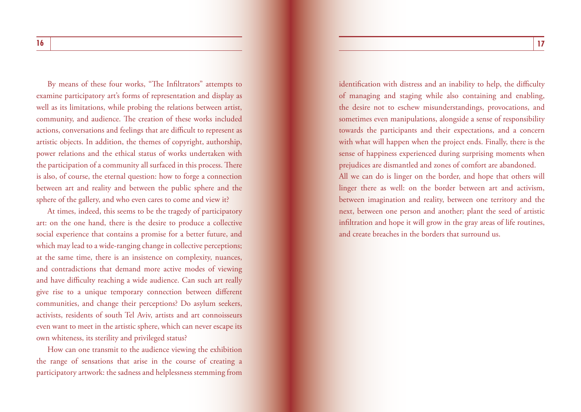By means of these four works, "The Infiltrators" attempts to examine participatory art's forms of representation and display as well as its limitations, while probing the relations between artist, community, and audience. The creation of these works included actions, conversations and feelings that are difficult to represent as artistic objects. In addition, the themes of copyright, authorship, power relations and the ethical status of works undertaken with the participation of a community all surfaced in this process. There is also, of course, the eternal question: how to forge a connection between art and reality and between the public sphere and the sphere of the gallery, and who even cares to come and view it?

At times, indeed, this seems to be the tragedy of participatory art: on the one hand, there is the desire to produce a collective social experience that contains a promise for a better future, and which may lead to a wide-ranging change in collective perceptions; at the same time, there is an insistence on complexity, nuances, and contradictions that demand more active modes of viewing and have difficulty reaching a wide audience. Can such art really give rise to a unique temporary connection between different communities, and change their perceptions? Do asylum seekers, activists, residents of south Tel Aviv, artists and art connoisseurs even want to meet in the artistic sphere, which can never escape its own whiteness, its sterility and privileged status?

How can one transmit to the audience viewing the exhibition the range of sensations that arise in the course of creating a participatory artwork: the sadness and helplessness stemming from identification with distress and an inability to help, the difficulty of managing and staging while also containing and enabling, the desire not to eschew misunderstandings, provocations, and sometimes even manipulations, alongside a sense of responsibility towards the participants and their expectations, and a concern with what will happen when the project ends. Finally, there is the sense of happiness experienced during surprising moments when prejudices are dismantled and zones of comfort are abandoned. All we can do is linger on the border, and hope that others will linger there as well: on the border between art and activism, between imagination and reality, between one territory and the next, between one person and another; plant the seed of artistic infiltration and hope it will grow in the gray areas of life routines, and create breaches in the borders that surround us.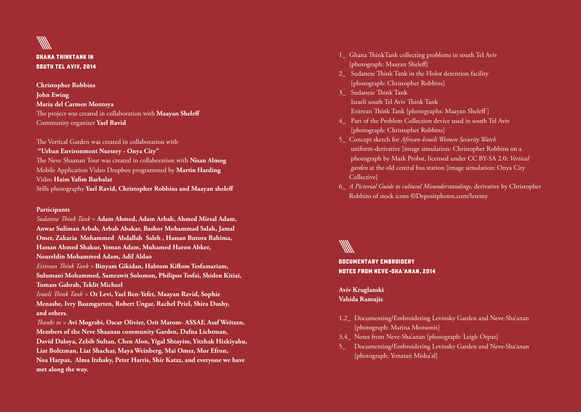# ₩ Ghana ThinkTank in south Tel Aviv, 2014

**Christopher Robbins John Ewing Maria del Carmen Montoya** The project was created in collaboration with **Maayan Sheleff** Community organizer **Yael Ravid**

The Vertical Garden was created in collaboration with  **"Urban Environment Nursery - Onya City"** The Neve Shaanan Tour was created in collaboration with **Nisan Almog** Mobile Application Video Dropbox programmed by **Martin Harding** Video **Haim Yafim Barbalat** Stills photography **Yael Ravid, Christopher Robbins and Maayan sheleff**

#### **Participants**

*Sudanese Think Tank* > **Adam Ahmed, Adam Arbab, Ahmed Mirsal Adam, Anwar Suliman Arbab, Arbab Abakar, Bashor Mohammad Salah, Jamal Omer, Zakaria Mohammed Abdallah Saleh , Hassan Butora Rahima, Hassan Ahmed Shakur, Yeman Adam, Muhamed Haron Abker, Noureldin Mohammed Adam, Adil Aldao**

*Eritrean Think Tank >* **Binyam Gikidan, Habtom Kiflom Tesfamariam, Sulumani Mohammed, Samrawit Solomon, Philipos Tesfai, Shiden Kitiai, Tomass Gabrab, Teklit Michael**

*Israeli Think Tank >* **Or Levi, Yael Ben-Yefet, Maayan Ravid, Sophie Menashe, Ivry Baumgarten, Robert Ungar, Rachel Priel, Shira Dushy, and others.**

*Thanks to >* **Avi Mograbi, Oscar Olivier, Orit Marom- Assaf, Asaf Weitzen, Members of the Neve Shaanan community Garden, Dafna Lichtman, David Daloya, Zebib Sultan, Chen Alon, Yigal Shtayim, Yitzhak Hizkiyahu, Liat Boltzman, Liat Shachar, Maya Weinberg, Mai Omer, Mor Efron, Noa Harpaz, Alma Itzhaky, Peter Harris, Shir Katzz, and everyone we have met along the way.**

- 1\_ Ghana ThinkTank collecting problems in south Tel Aviv [photograph: Maayan Sheleff]
- 2\_ Sudanese Think Tank in the Holot detention facility [photograph: Christopher Robbins]
- 3\_ Sudanese Think Tank Israeli south Tel Aviv Think Tank Eritrean Think Tank [photographs: Maayan Sheleff ]
- 4\_ Part of the Problem Collection device used in south Tel Aviv [photograph: Christopher Robbins]
- 5\_ Concept sketch for *African-Israeli Women Security Watch* uniform-derivative [image simulation: Christopher Robbins on a photograph by Mark Probst, licensed under CC BY-SA 2.0; *Vertical garden* at the old central bus station [image simulation: Onya City Collective]
- 6\_ *A Pictorial Guide to cultural Misunderstandings*, derivative by Christopher Robbins of stock icons ©Depositphotos.com/leremy



## Documentary Embroidery Notes from Neve -sha 'anan , 2014

**Aviv Kruglanski Vahida Ramujic** 

- 1,2\_ Documenting/Embroidering Levinsky Garden and Neve-Sha'anan [photograph: Marina Monsonis]
- 3,4\_ Notes from Neve-Sha'anan [photograph: Leigh Orpaz]
- 5\_ Documenting/Embroidering Levinsky Garden and Neve-Sha'anan [photograph: Yonatan Misha'al]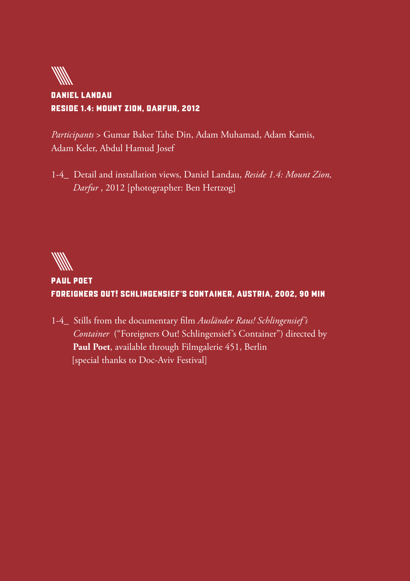

*Participants* > Gumar Baker Tahe Din, Adam Muhamad, Adam Kamis, Adam Keler, Abdul Hamud Josef

1-4\_ Detail and installation views, Daniel Landau, *Reside 1.4: Mount Zion, Darfur* , 2012 [photographer: Ben Hertzog]



## Paul Poet Foreigners Out! Schlingensief's Container, Austria, 2002, 90 Min

1-4\_ Stills from the documentary film *Ausländer Raus! Schlingensief's Container* ("Foreigners Out! Schlingensief's Container") directed by **Paul Poet**, available through Filmgalerie 451, Berlin [special thanks to Doc-Aviv Festival]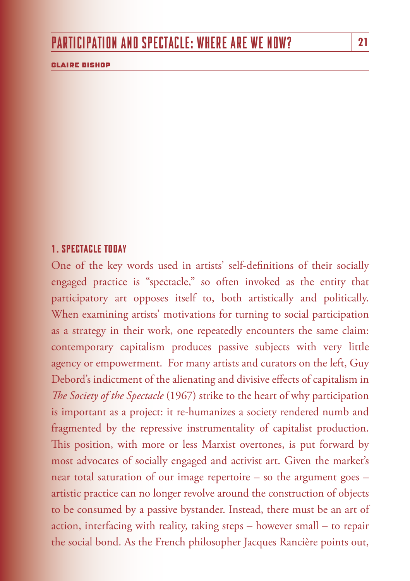#### 1. Spectacle Today

One of the key words used in artists' self-definitions of their socially engaged practice is "spectacle," so often invoked as the entity that participatory art opposes itself to, both artistically and politically. When examining artists' motivations for turning to social participation as a strategy in their work, one repeatedly encounters the same claim: contemporary capitalism produces passive subjects with very little agency or empowerment. For many artists and curators on the left, Guy Debord's indictment of the alienating and divisive effects of capitalism in *The Society of the Spectacle* (1967) strike to the heart of why participation is important as a project: it re-humanizes a society rendered numb and fragmented by the repressive instrumentality of capitalist production. This position, with more or less Marxist overtones, is put forward by most advocates of socially engaged and activist art. Given the market's near total saturation of our image repertoire – so the argument goes – artistic practice can no longer revolve around the construction of objects to be consumed by a passive bystander. Instead, there must be an art of action, interfacing with reality, taking steps – however small – to repair the social bond. As the French philosopher Jacques Rancière points out,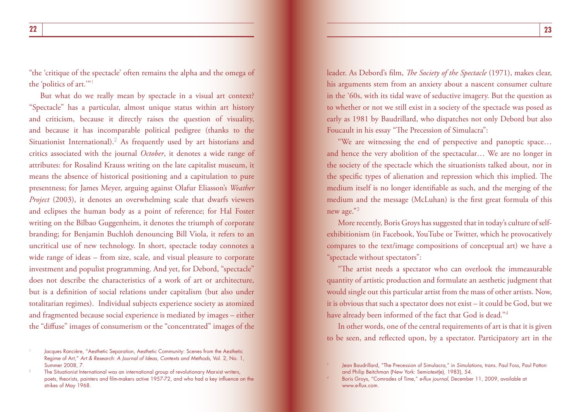"the 'critique of the spectacle' often remains the alpha and the omega of the 'politics of art.'"<sup>1</sup>

But what do we really mean by spectacle in a visual art context? "Spectacle" has a particular, almost unique status within art history and criticism, because it directly raises the question of visuality, and because it has incomparable political pedigree (thanks to the Situationist International).<sup>2</sup> As frequently used by art historians and critics associated with the journal *October*, it denotes a wide range of attributes: for Rosalind Krauss writing on the late capitalist museum, it means the absence of historical positioning and a capitulation to pure presentness; for James Meyer, arguing against Olafur Eliasson's *Weather Project* (2003), it denotes an overwhelming scale that dwarfs viewers and eclipses the human body as a point of reference; for Hal Foster writing on the Bilbao Guggenheim, it denotes the triumph of corporate branding; for Benjamin Buchloh denouncing Bill Viola, it refers to an uncritical use of new technology. In short, spectacle today connotes a wide range of ideas – from size, scale, and visual pleasure to corporate investment and populist programming. And yet, for Debord, "spectacle" does not describe the characteristics of a work of art or architecture, but is a definition of social relations under capitalism (but also under totalitarian regimes). Individual subjects experience society as atomized and fragmented because social experience is mediated by images – either the "diffuse" images of consumerism or the "concentrated" images of the

Jacques Rancière, "Aesthetic Separation, Aesthetic Community: Scenes from the Aesthetic Regime of Art," *Art & Research: A Journal of Ideas, Contexts and Methods*, Vol. 2, No. 1, Summer 2008, 7.

The Situationist International was an international group of revolutionary Marxist writers, poets, theorists, painters and film-makers active 1957-72, and who had a key influence on the strikes of May 1968.

leader. As Debord's film, *The Society of the Spectacle* (1971), makes clear, his arguments stem from an anxiety about a nascent consumer culture in the '60s, with its tidal wave of seductive imagery. But the question as to whether or not we still exist in a society of the spectacle was posed as early as 1981 by Baudrillard, who dispatches not only Debord but also Foucault in his essay "The Precession of Simulacra":

"We are witnessing the end of perspective and panoptic space… and hence the very abolition of the spectacular… We are no longer in the society of the spectacle which the situationists talked about, nor in the specific types of alienation and repression which this implied. The medium itself is no longer identifiable as such, and the merging of the medium and the message (McLuhan) is the first great formula of this new age."<sup>3</sup>

More recently, Boris Groys has suggested that in today's culture of selfexhibitionism (in Facebook, YouTube or Twitter, which he provocatively compares to the text/image compositions of conceptual art) we have a "spectacle without spectators":

"The artist needs a spectator who can overlook the immeasurable quantity of artistic production and formulate an aesthetic judgment that would single out this particular artist from the mass of other artists. Now, it is obvious that such a spectator does not exist – it could be God, but we have already been informed of the fact that God is dead."<sup>4</sup>

In other words, one of the central requirements of art is that it is given to be seen, and reflected upon, by a spectator. Participatory art in the

<sup>3</sup> Jean Baudrillard, "The Precession of Simulacra," in *Simulations*, trans. Paul Foss, Paul Patton and Philip Beitchman (New York: Semiotext(e), 1983), 54.

<sup>4</sup> Boris Groys, "Comrades of Time," *e-flux journal*, December 11, 2009, available at www.e-flux.com.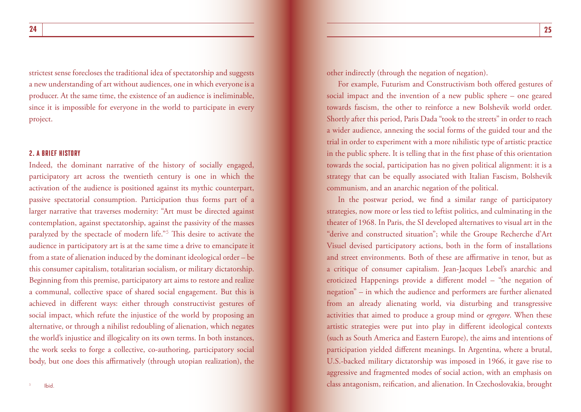strictest sense forecloses the traditional idea of spectatorship and suggests a new understanding of art without audiences, one in which everyone is a producer. At the same time, the existence of an audience is ineliminable, since it is impossible for everyone in the world to participate in every project.

## 2. A Brief History

Indeed, the dominant narrative of the history of socially engaged, participatory art across the twentieth century is one in which the activation of the audience is positioned against its mythic counterpart, passive spectatorial consumption. Participation thus forms part of a larger narrative that traverses modernity: "Art must be directed against contemplation, against spectatorship, against the passivity of the masses paralyzed by the spectacle of modern life."<sup>5</sup> This desire to activate the audience in participatory art is at the same time a drive to emancipate it from a state of alienation induced by the dominant ideological order – be this consumer capitalism, totalitarian socialism, or military dictatorship. Beginning from this premise, participatory art aims to restore and realize a communal, collective space of shared social engagement. But this is achieved in different ways: either through constructivist gestures of social impact, which refute the injustice of the world by proposing an alternative, or through a nihilist redoubling of alienation, which negates the world's injustice and illogicality on its own terms. In both instances, the work seeks to forge a collective, co-authoring, participatory social body, but one does this affirmatively (through utopian realization), the other indirectly (through the negation of negation).

For example, Futurism and Constructivism both offered gestures of social impact and the invention of a new public sphere – one geared towards fascism, the other to reinforce a new Bolshevik world order. Shortly after this period, Paris Dada "took to the streets" in order to reach a wider audience, annexing the social forms of the guided tour and the trial in order to experiment with a more nihilistic type of artistic practice in the public sphere. It is telling that in the first phase of this orientation towards the social, participation has no given political alignment: it is a strategy that can be equally associated with Italian Fascism, Bolshevik communism, and an anarchic negation of the political.

In the postwar period, we find a similar range of participatory strategies, now more or less tied to leftist politics, and culminating in the theater of 1968. In Paris, the SI developed alternatives to visual art in the "derive and constructed situation"; while the Groupe Recherche d'Art Visuel devised participatory actions, both in the form of installations and street environments. Both of these are affirmative in tenor, but as a critique of consumer capitalism. Jean-Jacques Lebel's anarchic and eroticized Happenings provide a different model – "the negation of negation" – in which the audience and performers are further alienated from an already alienating world, via disturbing and transgressive activities that aimed to produce a group mind or *egregore*. When these artistic strategies were put into play in different ideological contexts (such as South America and Eastern Europe), the aims and intentions of participation yielded different meanings. In Argentina, where a brutal, U.S.-backed military dictatorship was imposed in 1966, it gave rise to aggressive and fragmented modes of social action, with an emphasis on <sup>5</sup> Ibid. class antagonism, reification, and alienation. In Czechoslovakia, brought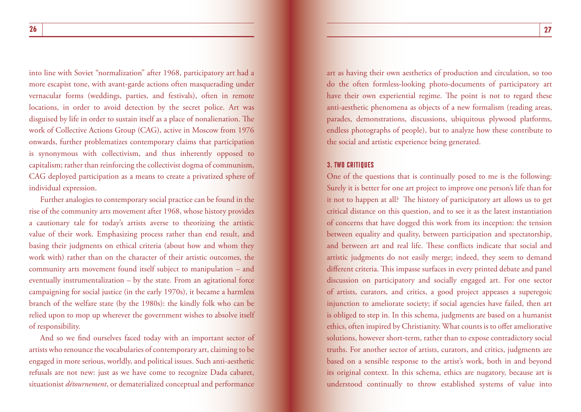into line with Soviet "normalization" after 1968, participatory art had a more escapist tone, with avant-garde actions often masquerading under vernacular forms (weddings, parties, and festivals), often in remote locations, in order to avoid detection by the secret police. Art was disguised by life in order to sustain itself as a place of nonalienation. The work of Collective Actions Group (CAG), active in Moscow from 1976 onwards, further problematizes contemporary claims that participation is synonymous with collectivism, and thus inherently opposed to capitalism; rather than reinforcing the collectivist dogma of communism, CAG deployed participation as a means to create a privatized sphere of individual expression.

Further analogies to contemporary social practice can be found in the rise of the community arts movement after 1968, whose history provides a cautionary tale for today's artists averse to theorizing the artistic value of their work. Emphasizing process rather than end result, and basing their judgments on ethical criteria (about how and whom they work with) rather than on the character of their artistic outcomes, the community arts movement found itself subject to manipulation – and eventually instrumentalization – by the state. From an agitational force campaigning for social justice (in the early 1970s), it became a harmless branch of the welfare state (by the 1980s): the kindly folk who can be relied upon to mop up wherever the government wishes to absolve itself of responsibility.

And so we find ourselves faced today with an important sector of artists who renounce the vocabularies of contemporary art, claiming to be engaged in more serious, worldly, and political issues. Such anti-aesthetic refusals are not new: just as we have come to recognize Dada cabaret, situationist *détournement*, or dematerialized conceptual and performance

art as having their own aesthetics of production and circulation, so too do the often formless-looking photo-documents of participatory art have their own experiential regime. The point is not to regard these anti-aesthetic phenomena as objects of a new formalism (reading areas, parades, demonstrations, discussions, ubiquitous plywood platforms, endless photographs of people), but to analyze how these contribute to the social and artistic experience being generated.

### 3. Two Critiques

One of the questions that is continually posed to me is the following: Surely it is better for one art project to improve one person's life than for it not to happen at all? The history of participatory art allows us to get critical distance on this question, and to see it as the latest instantiation of concerns that have dogged this work from its inception: the tension between equality and quality, between participation and spectatorship, and between art and real life. These conflicts indicate that social and artistic judgments do not easily merge; indeed, they seem to demand different criteria. This impasse surfaces in every printed debate and panel discussion on participatory and socially engaged art. For one sector of artists, curators, and critics, a good project appeases a superegoic injunction to ameliorate society; if social agencies have failed, then art is obliged to step in. In this schema, judgments are based on a humanist ethics, often inspired by Christianity. What counts is to offer ameliorative solutions, however short-term, rather than to expose contradictory social truths. For another sector of artists, curators, and critics, judgments are based on a sensible response to the artist's work, both in and beyond its original context. In this schema, ethics are nugatory, because art is understood continually to throw established systems of value into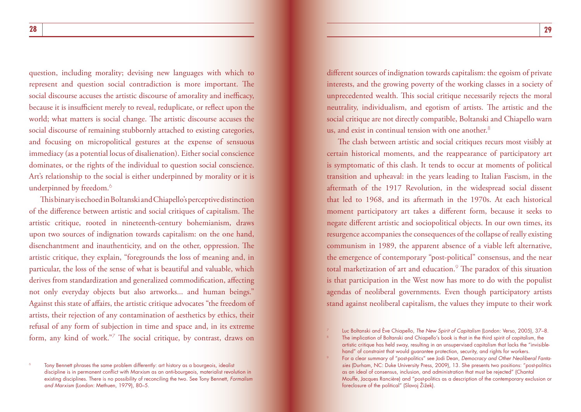question, including morality; devising new languages with which to represent and question social contradiction is more important. The social discourse accuses the artistic discourse of amorality and inefficacy, because it is insufficient merely to reveal, reduplicate, or reflect upon the world; what matters is social change. The artistic discourse accuses the social discourse of remaining stubbornly attached to existing categories, and focusing on micropolitical gestures at the expense of sensuous immediacy (as a potential locus of disalienation). Either social conscience dominates, or the rights of the individual to question social conscience. Art's relationship to the social is either underpinned by morality or it is underpinned by freedom.<sup>6</sup>

This binary is echoed in Boltanski and Chiapello's perceptive distinction of the difference between artistic and social critiques of capitalism. The artistic critique, rooted in nineteenth-century bohemianism, draws upon two sources of indignation towards capitalism: on the one hand, disenchantment and inauthenticity, and on the other, oppression. The artistic critique, they explain, "foregrounds the loss of meaning and, in particular, the loss of the sense of what is beautiful and valuable, which derives from standardization and generalized commodification, affecting not only everyday objects but also artworks... and human beings." Against this state of affairs, the artistic critique advocates "the freedom of artists, their rejection of any contamination of aesthetics by ethics, their refusal of any form of subjection in time and space and, in its extreme form, any kind of work."<sup>7</sup> The social critique, by contrast, draws on

different sources of indignation towards capitalism: the egoism of private interests, and the growing poverty of the working classes in a society of unprecedented wealth. This social critique necessarily rejects the moral neutrality, individualism, and egotism of artists. The artistic and the social critique are not directly compatible, Boltanski and Chiapello warn us, and exist in continual tension with one another.<sup>8</sup>

The clash between artistic and social critiques recurs most visibly at certain historical moments, and the reappearance of participatory art is symptomatic of this clash. It tends to occur at moments of political transition and upheaval: in the years leading to Italian Fascism, in the aftermath of the 1917 Revolution, in the widespread social dissent that led to 1968, and its aftermath in the 1970s. At each historical moment participatory art takes a different form, because it seeks to negate different artistic and sociopolitical objects. In our own times, its resurgence accompanies the consequences of the collapse of really existing communism in 1989, the apparent absence of a viable left alternative, the emergence of contemporary "post-political" consensus, and the near total marketization of art and education.<sup>9</sup> The paradox of this situation is that participation in the West now has more to do with the populist agendas of neoliberal governments. Even though participatory artists stand against neoliberal capitalism, the values they impute to their work

Tony Bennett phrases the same problem differently: art history as a bourgeois, idealist discipline is in permanent conflict with Marxism as an anti-bourgeois, materialist revolution in existing disciplines. There is no possibility of reconciling the two. See Tony Bennett, *Formalism and Marxism* (London: Methuen, 1979), 80–5.

<sup>7</sup> Luc Boltanski and Ève Chiapello*, The New Spirit of Capitalism* (London: Verso, 2005), 37–8. The implication of Boltanski and Chiapello's book is that in the third spirit of capitalism, the artistic critique has held sway, resulting in an unsupervised capitalism that lacks the "invisiblehand" of constraint that would guarantee protection, security, and rights for workers. <sup>9</sup> For a clear summary of "post-politics" see Jodi Dean, *Democracy and Other Neoliberal Fantasies* (Durham, NC: Duke University Press, 2009), 13. She presents two positions: "post-politics as an ideal of consensus, inclusion, and administration that must be rejected" (Chantal Mouffe, Jacques Rancière) and "post-politics as a description of the contemporary exclusion or foreclosure of the political" (Slavoj Žižek).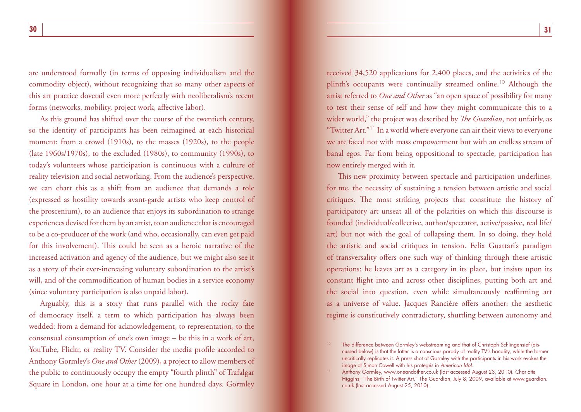received 34,520 applications for 2,400 places, and the activities of the plinth's occupants were continually streamed online.<sup>10</sup> Although the artist referred to *One and Other* as "an open space of possibility for many to test their sense of self and how they might communicate this to a wider world," the project was described by *The Guardian*, not unfairly, as "Twitter Art."<sup>11</sup> In a world where everyone can air their views to everyone we are faced not with mass empowerment but with an endless stream of banal egos. Far from being oppositional to spectacle, participation has now entirely merged with it.

This new proximity between spectacle and participation underlines, for me, the necessity of sustaining a tension between artistic and social critiques. The most striking projects that constitute the history of participatory art unseat all of the polarities on which this discourse is founded (individual/collective, author/spectator, active/passive, real life/ art) but not with the goal of collapsing them. In so doing, they hold the artistic and social critiques in tension. Felix Guattari's paradigm of transversality offers one such way of thinking through these artistic operations: he leaves art as a category in its place, but insists upon its constant flight into and across other disciplines, putting both art and the social into question, even while simultaneously reaffirming art as a universe of value. Jacques Rancière offers another: the aesthetic regime is constitutively contradictory, shuttling between autonomy and

are understood formally (in terms of opposing individualism and the commodity object), without recognizing that so many other aspects of this art practice dovetail even more perfectly with neoliberalism's recent forms (networks, mobility, project work, affective labor).

As this ground has shifted over the course of the twentieth century, so the identity of participants has been reimagined at each historical moment: from a crowd (1910s), to the masses (1920s), to the people (late 1960s/1970s), to the excluded (1980s), to community (1990s), to today's volunteers whose participation is continuous with a culture of reality television and social networking. From the audience's perspective, we can chart this as a shift from an audience that demands a role (expressed as hostility towards avant-garde artists who keep control of the proscenium), to an audience that enjoys its subordination to strange experiences devised for them by an artist, to an audience that is encouraged to be a co-producer of the work (and who, occasionally, can even get paid for this involvement). This could be seen as a heroic narrative of the increased activation and agency of the audience, but we might also see it as a story of their ever-increasing voluntary subordination to the artist's will, and of the commodification of human bodies in a service economy (since voluntary participation is also unpaid labor).

Arguably, this is a story that runs parallel with the rocky fate of democracy itself, a term to which participation has always been wedded: from a demand for acknowledgement, to representation, to the consensual consumption of one's own image – be this in a work of art, YouTube, Flickr, or reality TV. Consider the media profile accorded to Anthony Gormley's *One and Other* (2009), a project to allow members of the public to continuously occupy the empty "fourth plinth" of Trafalgar Square in London, one hour at a time for one hundred days. Gormley

The difference between Gormley's webstreaming and that of Christoph Schlingensief (discussed below) is that the latter is a conscious parody of reality TV's banality, while the former uncritically replicates it. A press shot of Gormley with the participants in his work evokes the image of Simon Cowell with his protegés in *American Idol*.

Anthony Gormley, www.oneandother.co.uk (last accessed August 23, 2010). Charlotte Higgins, "The Birth of Twitter Art," The Guardian, July 8, 2009, available at www.guardian. co.uk (last accessed August 25, 2010).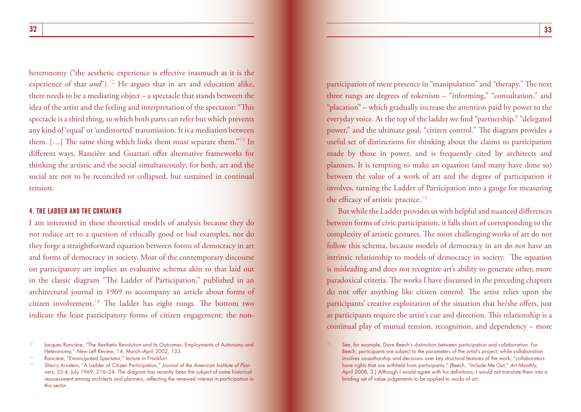heteronomy ("the aesthetic experience is effective inasmuch as it is the experience of that *and*").<sup>12</sup> He argues that in art and education alike, there needs to be a mediating object – a spectacle that stands between the idea of the artist and the feeling and interpretation of the spectator: "This spectacle is a third thing, to which both parts can refer but which prevents any kind of 'equal' or 'undistorted' transmission. It is a mediation between them. […] The same thing which links them must separate them."<sup>13</sup> In different ways, Rancière and Guattari offer alternative frameworks for thinking the artistic and the social simultaneously; for both, art and the social are not to be reconciled or collapsed, but sustained in continual tension.

## 4. The Ladder and the Container

I am interested in these theoretical models of analysis because they do not reduce art to a question of ethically good or bad examples, nor do they forge a straightforward equation between forms of democracy in art and forms of democracy in society. Most of the contemporary discourse on participatory art implies an evaluative schema akin to that laid out in the classic diagram "The Ladder of Participation," published in an architectural journal in 1969 to accompany an article about forms of citizen involvement.<sup>14</sup> The ladder has eight rungs. The bottom two indicate the least participatory forms of citizen engagement: the non-

participation of mere presence in "manipulation" and "therapy." The next three rungs are degrees of tokenism – "informing," "consultation," and "placation" – which gradually increase the attention paid by power to the everyday voice. At the top of the ladder we find "partnership," "delegated power," and the ultimate goal, "citizen control." The diagram provides a useful set of distinctions for thinking about the claims to participation made by those in power, and is frequently cited by architects and planners. It is tempting to make an equation (and many have done so) between the value of a work of art and the degree of participation it involves, turning the Ladder of Participation into a gauge for measuring the efficacy of artistic practice.<sup>15</sup>

But while the Ladder provides us with helpful and nuanced differences between forms of civic participation, it falls short of corresponding to the complexity of artistic gestures. The most challenging works of art do not follow this schema, because models of democracy in art do not have an intrinsic relationship to models of democracy in society. The equation is misleading and does not recognize art's ability to generate other, more paradoxical criteria. The works I have discussed in the preceding chapters do not offer anything like citizen control. The artist relies upon the participants' creative exploitation of the situation that he/she offers, just as participants require the artist's cue and direction. This relationship is a continual play of mutual tension, recognition, and dependency – more

<sup>&</sup>lt;sup>12</sup> Jacques Rancière, "The Aesthetic Revolution and Its Outcomes: Employments of Autonomy and Heteronomy," *New Left Review*, 14, March–April 2002, 133.

<sup>13</sup> Rancière, "Emancipated Spectator," lecture in Frankfurt.<br>14 Shamu Annatzia "A Luddae of Citizen Butitize tian "Azi

Sherry Arnstein, "A Ladder of Citizen Participation," Journal of the American Institute of Plan*ners*, 35:4, July 1969, 216–24. The diagram has recently been the subject of some historical reassessment among architects and planners, reflecting the renewed interest in participation in this sector.

See, for example, Dave Beech's distinction between participation and collaboration. For Beech, participants are subject to the parameters of the artist's project, while collaboration involves co-authorship and decisions over key structural features of the work; "collaborators have rights that are withheld from participants." (Beech, "Include Me Out," *Art Monthly*, April 2008, 3.) Although I would agree with his definitions, I would not translate them into a binding set of value judgements to be applied to works of art.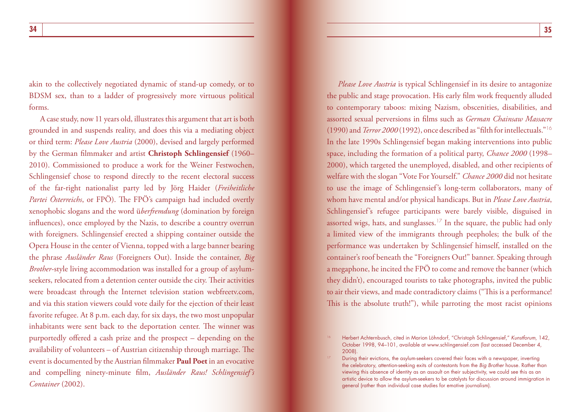**34 35**

akin to the collectively negotiated dynamic of stand-up comedy, or to BDSM sex, than to a ladder of progressively more virtuous political forms.

A case study, now 11 years old, illustrates this argument that art is both grounded in and suspends reality, and does this via a mediating object or third term: *Please Love Austria* (2000), devised and largely performed by the German filmmaker and artist **Christoph Schlingensief** (1960– 2010). Commissioned to produce a work for the Weiner Festwochen, Schlingensief chose to respond directly to the recent electoral success of the far-right nationalist party led by Jörg Haider (*Freiheitliche Partei Österreichs*, or FPÖ). The FPÖ's campaign had included overtly xenophobic slogans and the word ü*berfremdung* (domination by foreign influences), once employed by the Nazis, to describe a country overrun with foreigners. Schlingensief erected a shipping container outside the Opera House in the center of Vienna, topped with a large banner bearing the phrase *Ausländer Raus* (Foreigners Out). Inside the container, *Big Brother*-style living accommodation was installed for a group of asylumseekers, relocated from a detention center outside the city. Their activities were broadcast through the Internet television station webfreetv.com, and via this station viewers could vote daily for the ejection of their least favorite refugee. At 8 p.m. each day, for six days, the two most unpopular inhabitants were sent back to the deportation center. The winner was purportedly offered a cash prize and the prospect – depending on the availability of volunteers – of Austrian citizenship through marriage. The event is documented by the Austrian filmmaker **Paul Poet** in an evocative and compelling ninety-minute film, *Ausländer Raus! Schlingensief's Container* (2002).

*Please Love Austria* is typical Schlingensief in its desire to antagonize the public and stage provocation. His early film work frequently alluded to contemporary taboos: mixing Nazism, obscenities, disabilities, and assorted sexual perversions in films such as *German Chainsaw Massacre* (1990) and *Terror 2000* (1992), once described as "filth for intellectuals."<sup>16</sup> In the late 1990s Schlingensief began making interventions into public space, including the formation of a political party, *Chance 2000* (1998– 2000), which targeted the unemployed, disabled, and other recipients of welfare with the slogan "Vote For Yourself." *Chance 2000* did not hesitate to use the image of Schlingensief's long-term collaborators, many of whom have mental and/or physical handicaps. But in *Please Love Austria*, Schlingensief's refugee participants were barely visible, disguised in assorted wigs, hats, and sunglasses.<sup>17</sup> In the square, the public had only a limited view of the immigrants through peepholes; the bulk of the performance was undertaken by Schlingensief himself, installed on the container's roof beneath the "Foreigners Out!" banner. Speaking through a megaphone, he incited the FPÖ to come and remove the banner (which they didn't), encouraged tourists to take photographs, invited the public to air their views, and made contradictory claims ("This is a performance! This is the absolute truth!"), while parroting the most racist opinions

<sup>16</sup> Herbert Achternbusch, cited in Marion Löhndorf, "Christoph Schlingensief," *Kunstforum*, 142, October 1998, 94–101, available at www.schlingensief.com (last accessed December 4, 2008).

<sup>&</sup>lt;sup>17</sup> During their evictions, the asylum-seekers covered their faces with a newspaper, inverting the celebratory, attention-seeking exits of contestants from the *Big Brother* house. Rather than viewing this absence of identity as an assault on their subjectivity, we could see this as an artistic device to allow the asylum-seekers to be catalysts for discussion around immigration in general (rather than individual case studies for emotive journalism).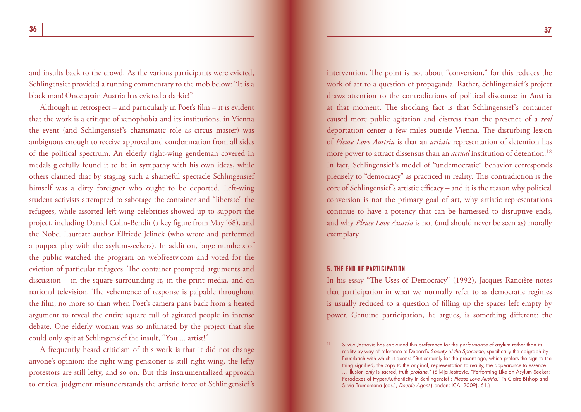and insults back to the crowd. As the various participants were evicted, Schlingensief provided a running commentary to the mob below: "It is a black man! Once again Austria has evicted a darkie!"

Although in retrospect – and particularly in Poet's film – it is evident that the work is a critique of xenophobia and its institutions, in Vienna the event (and Schlingensief's charismatic role as circus master) was ambiguous enough to receive approval and condemnation from all sides of the political spectrum. An elderly right-wing gentleman covered in medals gleefully found it to be in sympathy with his own ideas, while others claimed that by staging such a shameful spectacle Schlingensief himself was a dirty foreigner who ought to be deported. Left-wing student activists attempted to sabotage the container and "liberate" the refugees, while assorted left-wing celebrities showed up to support the project, including Daniel Cohn-Bendit (a key figure from May '68), and the Nobel Laureate author Elfriede Jelinek (who wrote and performed a puppet play with the asylum-seekers). In addition, large numbers of the public watched the program on webfreetv.com and voted for the eviction of particular refugees. The container prompted arguments and discussion – in the square surrounding it, in the print media, and on national television. The vehemence of response is palpable throughout the film, no more so than when Poet's camera pans back from a heated argument to reveal the entire square full of agitated people in intense debate. One elderly woman was so infuriated by the project that she could only spit at Schlingensief the insult, "You ... artist!"

A frequently heard criticism of this work is that it did not change anyone's opinion: the right-wing pensioner is still right-wing, the lefty protestors are still lefty, and so on. But this instrumentalized approach to critical judgment misunderstands the artistic force of Schlingensief's intervention. The point is not about "conversion," for this reduces the work of art to a question of propaganda. Rather, Schlingensief's project draws attention to the contradictions of political discourse in Austria at that moment. The shocking fact is that Schlingensief's container caused more public agitation and distress than the presence of a *real* deportation center a few miles outside Vienna. The disturbing lesson of *Please Love Austria* is that an *artistic* representation of detention has more power to attract dissensus than an *actual* institution of detention.<sup>18</sup> In fact, Schlingensief's model of "undemocratic" behavior corresponds precisely to "democracy" as practiced in reality. This contradiction is the core of Schlingensief's artistic efficacy – and it is the reason why political conversion is not the primary goal of art, why artistic representations continue to have a potency that can be harnessed to disruptive ends, and why *Please Love Austria* is not (and should never be seen as) morally exemplary.

### 5. The End of Participation

In his essay "The Uses of Democracy" (1992), Jacques Rancière notes that participation in what we normally refer to as democratic regimes is usually reduced to a question of filling up the spaces left empty by power. Genuine participation, he argues, is something different: the

<sup>18</sup> Silvija Jestrovic has explained this preference for the *performance* of asylum rather than its reality by way of reference to Debord's *Society of the Spectacle*, specifically the epigraph by Feuerbach with which it opens: "But certainly for the present age, which prefers the sign to the thing signified, the copy to the original, representation to reality, the appearance to essence ... illusion *only* is sacred, truth *profane*." (Silvija Jestrovic, "Performing Like an Asylum Seeker: Paradoxes of Hyper-Authenticity in Schlingensief's *Please Love Austria*," in Claire Bishop and Silvia Tramontana (eds.), *Double Agent* (London: ICA, 2009), 61.)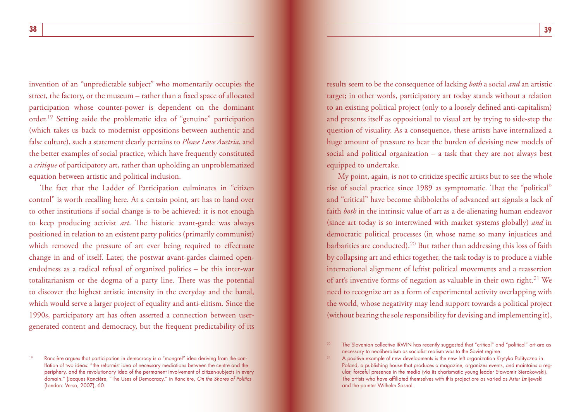**38 39**

invention of an "unpredictable subject" who momentarily occupies the street, the factory, or the museum – rather than a fixed space of allocated participation whose counter-power is dependent on the dominant order.<sup>19</sup> Setting aside the problematic idea of "genuine" participation (which takes us back to modernist oppositions between authentic and false culture), such a statement clearly pertains to *Please Love Austria*, and the better examples of social practice, which have frequently constituted a *critique* of participatory art, rather than upholding an unproblematized equation between artistic and political inclusion.

The fact that the Ladder of Participation culminates in "citizen control" is worth recalling here. At a certain point, art has to hand over to other institutions if social change is to be achieved: it is not enough to keep producing activist *art*. The historic avant-garde was always positioned in relation to an existent party politics (primarily communist) which removed the pressure of art ever being required to effectuate change in and of itself. Later, the postwar avant-gardes claimed openendedness as a radical refusal of organized politics – be this inter-war totalitarianism or the dogma of a party line. There was the potential to discover the highest artistic intensity in the everyday and the banal, which would serve a larger project of equality and anti-elitism. Since the 1990s, participatory art has often asserted a connection between usergenerated content and democracy, but the frequent predictability of its

results seem to be the consequence of lacking *both* a social *and* an artistic target; in other words, participatory art today stands without a relation to an existing political project (only to a loosely defined anti-capitalism) and presents itself as oppositional to visual art by trying to side-step the question of visuality. As a consequence, these artists have internalized a huge amount of pressure to bear the burden of devising new models of social and political organization – a task that they are not always best equipped to undertake.

My point, again, is not to criticize specific artists but to see the whole rise of social practice since 1989 as symptomatic. That the "political" and "critical" have become shibboleths of advanced art signals a lack of faith *both* in the intrinsic value of art as a de-alienating human endeavor (since art today is so intertwined with market systems globally) *and* in democratic political processes (in whose name so many injustices and barbarities are conducted).<sup>20</sup> But rather than addressing this loss of faith by collapsing art and ethics together, the task today is to produce a viable international alignment of leftist political movements and a reassertion of art's inventive forms of negation as valuable in their own right.<sup>21</sup> We need to recognize art as a form of experimental activity overlapping with the world, whose negativity may lend support towards a political project (without bearing the sole responsibility for devising and implementing it),

Rancière argues that participation in democracy is a "mongrel" idea deriving from the conflation of two ideas: "the reformist idea of necessary mediations between the centre and the periphery, and the revolutionary idea of the permanent involvement of citizen-subjects in every domain." (Jacques Rancière, "The Uses of Democracy," in Rancière, *On the Shores of Politics*  (London: Verso, 2007), 60.

<sup>&</sup>lt;sup>20</sup> The Slovenian collective IRWIN has recently suggested that "critical" and "political" art are as necessary to neoliberalism as socialist realism was to the Soviet regime.

 $21$  A positive example of new developments is the new left organization Krytyka Polityczna in Poland, a publishing house that produces a magazine, organizes events, and maintains a regular, forceful presence in the media (via its charismatic young leader Sławomir Sierakowski). The artists who have affiliated themselves with this project are as varied as Artur Żmijewski and the painter Wilhelm Sasnal.